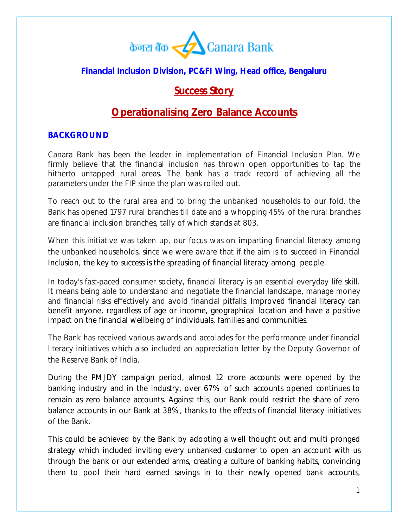

## **Financial Inclusion Division, PC&FI Wing, Head office, Bengaluru**

## **Success Story**

# **Operationalising Zero Balance Accounts**

#### **BACKGROUND**

Canara Bank has been the leader in implementation of Financial Inclusion Plan. We firmly believe that the financial inclusion has thrown open opportunities to tap the hitherto untapped rural areas. The bank has a track record of achieving all the parameters under the FIP since the plan was rolled out.

To reach out to the rural area and to bring the unbanked households to our fold, the Bank has opened 1797 rural branches till date and a whopping 45% of the rural branches are financial inclusion branches, tally of which stands at 803.

When this initiative was taken up, our focus was on imparting financial literacy among the unbanked households, since we were aware that if the aim is to succeed in Financial Inclusion, the key to success is the spreading of financial literacy among people.

In today's fast-paced consumer society, financial literacy is an essential everyday life skill. It means being able to understand and negotiate the financial landscape, manage money and financial risks effectively and avoid financial pitfalls. Improved financial literacy can benefit anyone, regardless of age or income, geographical location and have a positive impact on the financial wellbeing of individuals, families and communities.

The Bank has received various awards and accolades for the performance under financial literacy initiatives which also included an appreciation letter by the Deputy Governor of the Reserve Bank of India.

During the PMJDY campaign period, almost 12 crore accounts were opened by the banking industry and in the industry, over 67% of such accounts opened continues to remain as zero balance accounts. Against this, our Bank could restrict the share of zero balance accounts in our Bank at 38%, thanks to the effects of financial literacy initiatives of the Bank.

This could be achieved by the Bank by adopting a well thought out and multi pronged strategy which included inviting every unbanked customer to open an account with us through the bank or our extended arms, creating a culture of banking habits, convincing them to pool their hard earned savings in to their newly opened bank accounts,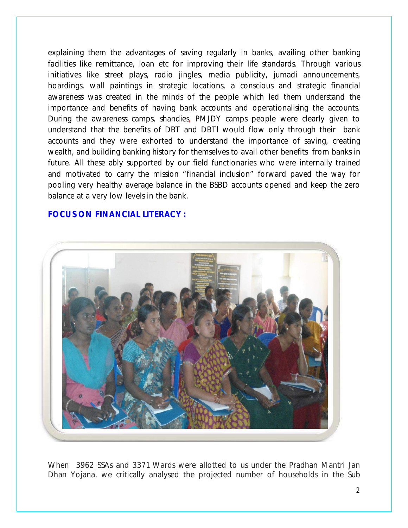explaining them the advantages of saving regularly in banks, availing other banking facilities like remittance, loan etc for improving their life standards. Through various initiatives like street plays, radio jingles, media publicity, jumadi announcements, hoardings, wall paintings in strategic locations, a conscious and strategic financial awareness was created in the minds of the people which led them understand the importance and benefits of having bank accounts and operationalising the accounts. During the awareness camps, shandies, PMJDY camps people were clearly given to understand that the benefits of DBT and DBTl would flow only through their bank accounts and they were exhorted to understand the importance of saving, creating wealth, and building banking history for themselves to avail other benefits from banks in future. All these ably supported by our field functionaries who were internally trained and motivated to carry the mission "financial inclusion" forward paved the way for pooling very healthy average balance in the BSBD accounts opened and keep the zero balance at a very low levels in the bank.

#### **FOCUS ON FINANCIAL LITERACY :**



When 3962 SSAs and 3371 Wards were allotted to us under the Pradhan Mantri Jan Dhan Yojana, we critically analysed the projected number of households in the Sub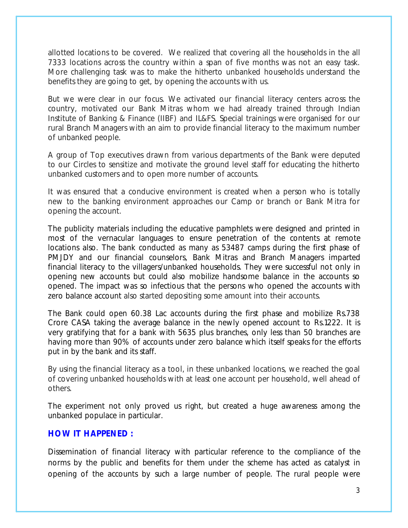allotted locations to be covered. We realized that covering all the households in the all 7333 locations across the country within a span of five months was not an easy task. More challenging task was to make the hitherto unbanked households understand the benefits they are going to get, by opening the accounts with us.

But we were clear in our focus. We activated our financial literacy centers across the country, motivated our Bank Mitras whom we had already trained through Indian Institute of Banking & Finance (IIBF) and IL&FS. Special trainings were organised for our rural Branch Managers with an aim to provide financial literacy to the maximum number of unbanked people.

A group of Top executives drawn from various departments of the Bank were deputed to our Circles to sensitize and motivate the ground level staff for educating the hitherto unbanked customers and to open more number of accounts.

It was ensured that a conducive environment is created when a person who is totally new to the banking environment approaches our Camp or branch or Bank Mitra for opening the account.

The publicity materials including the educative pamphlets were designed and printed in most of the vernacular languages to ensure penetration of the contents at remote locations also. The bank conducted as many as 53487 camps during the first phase of PMJDY and our financial counselors, Bank Mitras and Branch Managers imparted financial literacy to the villagers/unbanked households. They were successful not only in opening new accounts but could also mobilize handsome balance in the accounts so opened. The impact was so infectious that the persons who opened the accounts with zero balance account also started depositing some amount into their accounts.

The Bank could open 60.38 Lac accounts during the first phase and mobilize Rs.738 Crore CASA taking the average balance in the newly opened account to Rs.1222. It is very gratifying that for a bank with 5635 plus branches, only less than 50 branches are having more than 90% of accounts under zero balance which itself speaks for the efforts put in by the bank and its staff.

By using the financial literacy as a tool, in these unbanked locations, we reached the goal of covering unbanked households with at least one account per household, well ahead of others.

The experiment not only proved us right, but created a huge awareness among the unbanked populace in particular.

#### **HOW IT HAPPENED :**

Dissemination of financial literacy with particular reference to the compliance of the norms by the public and benefits for them under the scheme has acted as catalyst in opening of the accounts by such a large number of people. The rural people were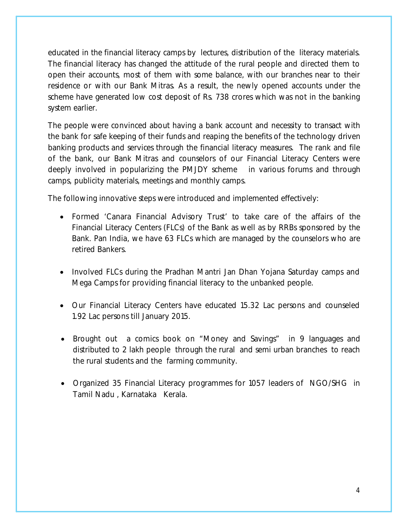educated in the financial literacy camps by lectures, distribution of the literacy materials. The financial literacy has changed the attitude of the rural people and directed them to open their accounts, most of them with some balance, with our branches near to their residence or with our Bank Mitras. As a result, the newly opened accounts under the scheme have generated low cost deposit of Rs. 738 crores which was not in the banking system earlier.

The people were convinced about having a bank account and necessity to transact with the bank for safe keeping of their funds and reaping the benefits of the technology driven banking products and services through the financial literacy measures. The rank and file of the bank, our Bank Mitras and counselors of our Financial Literacy Centers were deeply involved in popularizing the PMJDY scheme in various forums and through camps, publicity materials, meetings and monthly camps.

The following innovative steps were introduced and implemented effectively:

- Formed 'Canara Financial Advisory Trust' to take care of the affairs of the Financial Literacy Centers (FLCs) of the Bank as well as by RRBs sponsored by the Bank. Pan India, we have 63 FLCs which are managed by the counselors who are retired Bankers.
- Involved FLCs during the Pradhan Mantri Jan Dhan Yojana Saturday camps and Mega Camps for providing financial literacy to the unbanked people.
- Our Financial Literacy Centers have educated 15.32 Lac persons and counseled 1.92 Lac persons till January 2015.
- Brought out a comics book on "Money and Savings" in 9 languages and distributed to 2 lakh people through the rural and semi urban branches to reach the rural students and the farming community.
- Organized 35 Financial Literacy programmes for 1057 leaders of NGO/SHG in Tamil Nadu , Karnataka Kerala.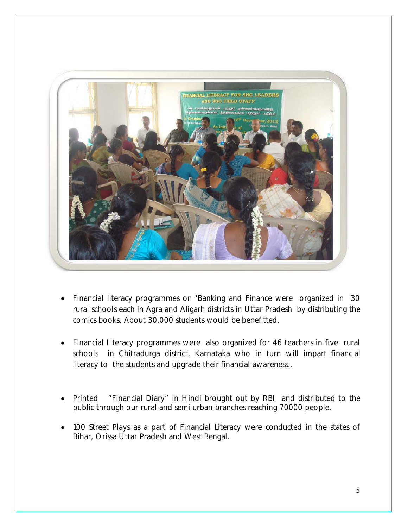

- Financial literacy programmes on 'Banking and Finance were organized in 30 rural schools each in Agra and Aligarh districts in Uttar Pradesh by distributing the comics books. About 30,000 students would be benefitted.
- Financial Literacy programmes were also organized for 46 teachers in five rural schools in Chitradurga district, Karnataka who in turn will impart financial literacy to the students and upgrade their financial awareness..
- Printed "Financial Diary" in Hindi brought out by RBI and distributed to the public through our rural and semi urban branches reaching 70000 people.
- 100 Street Plays as a part of Financial Literacy were conducted in the states of Bihar, Orissa Uttar Pradesh and West Bengal.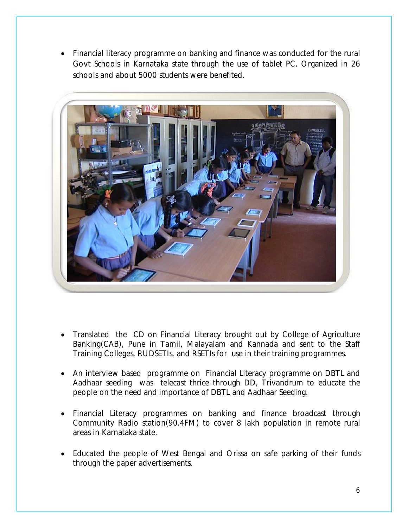Financial literacy programme on banking and finance was conducted for the rural Govt Schools in Karnataka state through the use of tablet PC. Organized in 26 schools and about 5000 students were benefited.



- Translated the CD on Financial Literacy brought out by College of Agriculture Banking(CAB), Pune in Tamil, Malayalam and Kannada and sent to the Staff Training Colleges, RUDSETIs, and RSETIs for use in their training programmes.
- An interview based programme on Financial Literacy programme on DBTL and Aadhaar seeding was telecast thrice through DD, Trivandrum to educate the people on the need and importance of DBTL and Aadhaar Seeding.
- Financial Literacy programmes on banking and finance broadcast through Community Radio station(90.4FM) to cover 8 lakh population in remote rural areas in Karnataka state.
- Educated the people of West Bengal and Orissa on safe parking of their funds through the paper advertisements.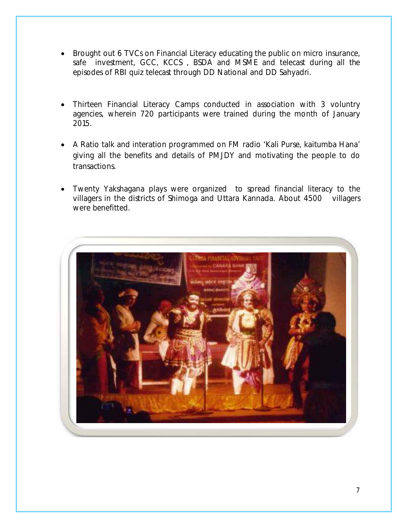- Brought out 6 TVCs on Financial Literacy educating the public on micro insurance, safe investment, GCC, KCCS , BSDA and MSME and telecast during all the episodes of RBI quiz telecast through DD National and DD Sahyadri.
- Thirteen Financial Literacy Camps conducted in association with 3 voluntry agencies, wherein 720 participants were trained during the month of January 2015.
- A Ratio talk and interation programmed on FM radio 'Kali Purse, kaitumba Hana' giving all the benefits and details of PMJDY and motivating the people to do transactions.
- Twenty Yakshagana plays were organized to spread financial literacy to the villagers in the districts of Shimoga and Uttara Kannada. About 4500 villagers were benefitted.

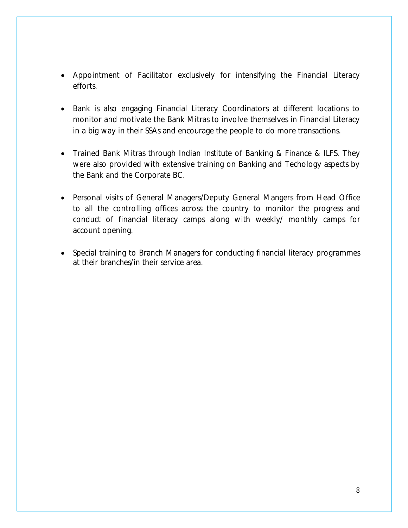- Appointment of Facilitator exclusively for intensifying the Financial Literacy efforts.
- Bank is also engaging Financial Literacy Coordinators at different locations to monitor and motivate the Bank Mitras to involve themselves in Financial Literacy in a big way in their SSAs and encourage the people to do more transactions.
- Trained Bank Mitras through Indian Institute of Banking & Finance & ILFS. They were also provided with extensive training on Banking and Techology aspects by the Bank and the Corporate BC.
- Personal visits of General Managers/Deputy General Mangers from Head Office to all the controlling offices across the country to monitor the progress and conduct of financial literacy camps along with weekly/ monthly camps for account opening.
- Special training to Branch Managers for conducting financial literacy programmes at their branches/in their service area.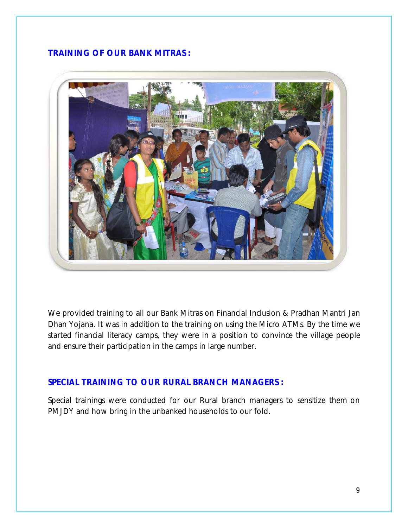#### **TRAINING OF OUR BANK MITRAS :**



We provided training to all our Bank Mitras on Financial Inclusion & Pradhan Mantri Jan Dhan Yojana. It was in addition to the training on using the Micro ATMs. By the time we started financial literacy camps, they were in a position to convince the village people and ensure their participation in the camps in large number.

#### **SPECIAL TRAINING TO OUR RURAL BRANCH MANAGERS :**

Special trainings were conducted for our Rural branch managers to sensitize them on PMJDY and how bring in the unbanked households to our fold.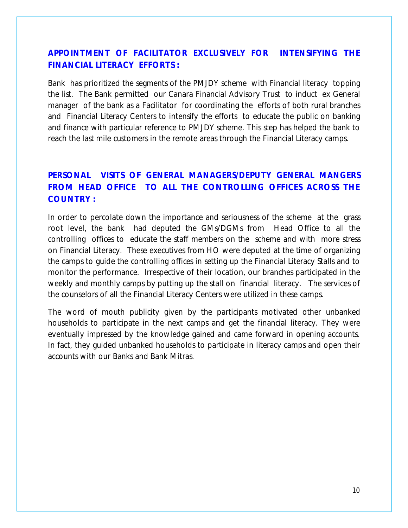## **APPOINTMENT OF FACILITATOR EXCLUSIVELY FOR INTENSIFYING THE FINANCIAL LITERACY EFFORTS :**

Bank has prioritized the segments of the PMJDY scheme with Financial literacy topping the list. The Bank permitted our Canara Financial Advisory Trust to induct ex General manager of the bank as a Facilitator for coordinating the efforts of both rural branches and Financial Literacy Centers to intensify the efforts to educate the public on banking and finance with particular reference to PMJDY scheme. This step has helped the bank to reach the last mile customers in the remote areas through the Financial Literacy camps.

## **PERSONAL VISITS OF GENERAL MANAGERS/DEPUTY GENERAL MANGERS FROM HEAD OFFICE TO ALL THE CONTROLLING OFFICES ACROSS THE COUNTRY :**

In order to percolate down the importance and seriousness of the scheme at the grass root level, the bank had deputed the GMs/DGMs from Head Office to all the controlling offices to educate the staff members on the scheme and with more stress on Financial Literacy. These executives from HO were deputed at the time of organizing the camps to guide the controlling offices in setting up the Financial Literacy Stalls and to monitor the performance. Irrespective of their location, our branches participated in the weekly and monthly camps by putting up the stall on financial literacy. The services of the counselors of all the Financial Literacy Centers were utilized in these camps.

The word of mouth publicity given by the participants motivated other unbanked households to participate in the next camps and get the financial literacy. They were eventually impressed by the knowledge gained and came forward in opening accounts. In fact, they guided unbanked households to participate in literacy camps and open their accounts with our Banks and Bank Mitras.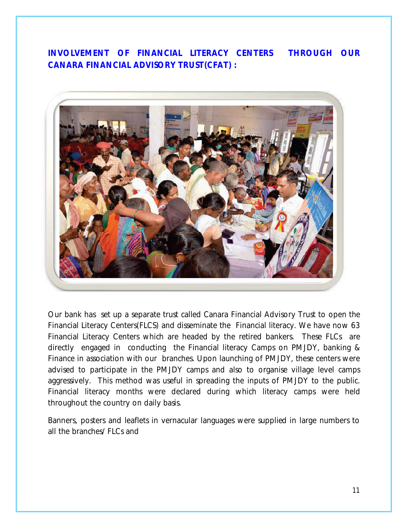**INVOLVEMENT OF FINANCIAL LITERACY CENTERS THROUGH OUR CANARA FINANCIAL ADVISORY TRUST(CFAT) :**



Our bank has set up a separate trust called Canara Financial Advisory Trust to open the Financial Literacy Centers(FLCS) and disseminate the Financial literacy. We have now 63 Financial Literacy Centers which are headed by the retired bankers. These FLCs are directly engaged in conducting the Financial literacy Camps on PMJDY, banking & Finance in association with our branches. Upon launching of PMJDY, these centers were advised to participate in the PMJDY camps and also to organise village level camps aggressively. This method was useful in spreading the inputs of PMJDY to the public. Financial literacy months were declared during which literacy camps were held throughout the country on daily basis.

Banners, posters and leaflets in vernacular languages were supplied in large numbers to all the branches/ FLCs and